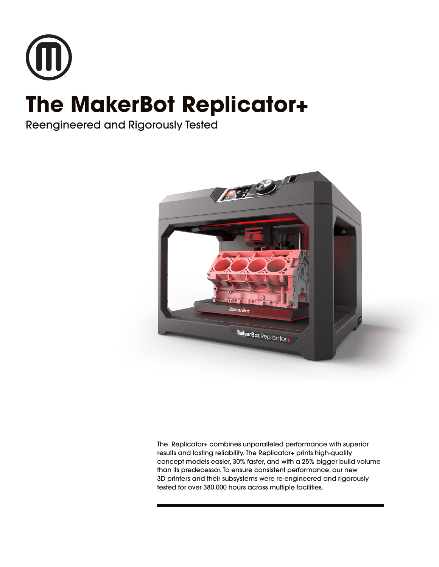

# **The MakerBot Replicator+**

Reengineered and Rigorously Tested



The Replicator+ combines unparalleled performance with superior results and lasting reliability. The Replicator+ prints high-quality concept models easier, 30% faster, and with a 25% bigger build volume than its predecessor. To ensure consistent performance, our new 3D printers and their subsystems were re-engineered and rigorously tested for over 380,000 hours across multiple facilities.